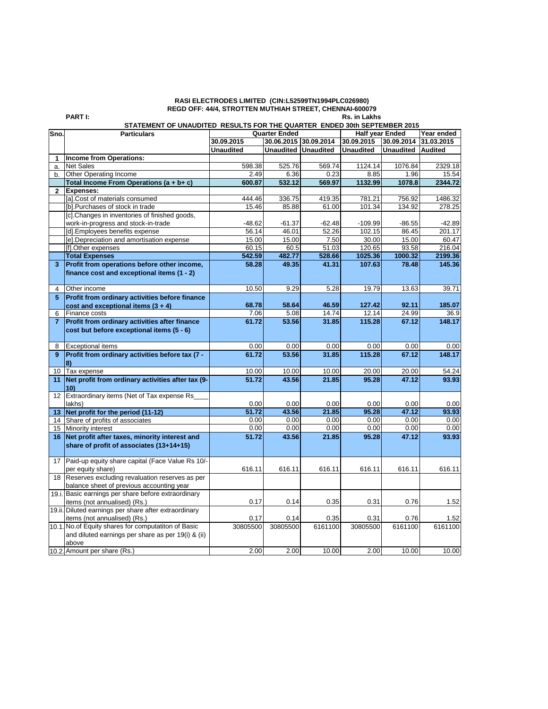## **RASI ELECTRODES LIMITED (CIN:L52599TN1994PLC026980) REGD OFF: 44/4, STROTTEN MUTHIAH STREET, CHENNAI-600079**

**PART I: Rs. in Lakhs**

## **STATEMENT OF UNAUDITED RESULTS FOR THE QUARTER ENDED 30th SEPTEMBER 2015**

| Sno.           | <b>Particulars</b>                                    |                  | <b>Quarter Ended</b>  |                  | <b>Half year Ended</b> |                  | Year ended     |
|----------------|-------------------------------------------------------|------------------|-----------------------|------------------|------------------------|------------------|----------------|
|                |                                                       | 30.09.2015       | 30.06.2015 30.09.2014 |                  | 30.09.2015             | 30.09.2014       | 31.03.2015     |
|                |                                                       | <b>Unaudited</b> | <b>Unaudited</b>      | <b>Unaudited</b> | <b>Unaudited</b>       | <b>Unaudited</b> | <b>Audited</b> |
| 1              | Income from Operations:                               |                  |                       |                  |                        |                  |                |
| a.             | <b>Net Sales</b>                                      | 598.38           | 525.76                | 569.74           | 1124.14                | 1076.84          | 2329.18        |
| b.             | Other Operating Income                                | 2.49             | 6.36                  | 0.23             | 8.85                   | 1.96             | 15.54          |
|                | Total Income From Operations (a + b+ c)               | 600.87           | 532.12                | 569.97           | 1132.99                | 1078.8           | 2344.72        |
| $\mathbf{2}$   | <b>Expenses:</b>                                      |                  |                       |                  |                        |                  |                |
|                | [a].Cost of materials consumed                        | 444.46           | 336.75                | 419.35           | 781.21                 | 756.92           | 1486.32        |
|                | [b]. Purchases of stock in trade                      | 15.46            | 85.88                 | 61.00            | 101.34                 | 134.92           | 278.25         |
|                | [c]. Changes in inventories of finished goods,        |                  |                       |                  |                        |                  |                |
|                | work-in-progress and stock-in-trade                   | $-48.62$         | $-61.37$              | $-62.48$         | $-109.99$              | $-86.55$         | $-42.89$       |
|                | [d]. Employees benefits expense                       | 56.14            | 46.01                 | 52.26            | 102.15                 | 86.45            | 201.17         |
|                | [e]. Depreciation and amortisation expense            | 15.00            | 15.00                 | 7.50             | 30.00                  | 15.00            | 60.47          |
|                | [f].Other expenses                                    | 60.15            | 60.5                  | 51.03            | 120.65                 | 93.58            | 216.04         |
|                | <b>Total Expenses</b>                                 | 542.59           | 482.77                | 528.66           | 1025.36                | 1000.32          | 2199.36        |
| 3              | Profit from operations before other income,           | 58.28            | 49.35                 | 41.31            | 107.63                 | 78.48            | 145.36         |
|                | finance cost and exceptional items (1 - 2)            |                  |                       |                  |                        |                  |                |
|                |                                                       |                  |                       |                  |                        |                  |                |
| 4              | Other income                                          | 10.50            | 9.29                  | 5.28             | 19.79                  | 13.63            | 39.71          |
| 5              | Profit from ordinary activities before finance        |                  |                       |                  |                        |                  |                |
|                | cost and exceptional items $(3 + 4)$                  | 68.78            | 58.64                 | 46.59            | 127.42                 | 92.11            | 185.07         |
| 6              | Finance costs                                         | 7.06             | 5.08                  | 14.74            | 12.14                  | 24.99            | 36.9           |
| $\overline{7}$ | Profit from ordinary activities after finance         | 61.72            | 53.56                 | 31.85            | 115.28                 | 67.12            | 148.17         |
|                | cost but before exceptional items (5 - 6)             |                  |                       |                  |                        |                  |                |
|                |                                                       |                  |                       |                  |                        |                  |                |
| 8              | <b>Exceptional items</b>                              | 0.00             | 0.00                  | 0.00             | 0.00                   | 0.00             | 0.00           |
| 9              | Profit from ordinary activities before tax (7 -       | 61.72            | 53.56                 | 31.85            | 115.28                 | 67.12            | 148.17         |
|                | 8)                                                    |                  |                       |                  |                        |                  |                |
| 10             | Tax expense                                           | 10.00            | 10.00                 | 10.00            | 20.00                  | 20.00            | 54.24          |
| 11             | Net profit from ordinary activities after tax (9-     | 51.72            | 43.56                 | 21.85            | 95.28                  | 47.12            | 93.93          |
|                | 10)                                                   |                  |                       |                  |                        |                  |                |
|                | 12 Extraordinary items (Net of Tax expense Rs         |                  |                       |                  |                        |                  |                |
|                | lakhs)                                                | 0.00             | 0.00                  | 0.00             | 0.00                   | 0.00             | 0.00           |
| 13             | Net profit for the period (11-12)                     | 51.72            | 43.56                 | 21.85            | 95.28                  | 47.12            | 93.93          |
|                | 14 Share of profits of associates                     | 0.00             | 0.00                  | 0.00             | 0.00                   | 0.00             | 0.00           |
|                | 15 Minority interest                                  | 0.00             | 0.00                  | 0.00             | 0.00                   | 0.00             | 0.00           |
|                | 16 Net profit after taxes, minority interest and      | 51.72            | 43.56                 | 21.85            | 95.28                  | 47.12            | 93.93          |
|                | share of profit of associates (13+14+15)              |                  |                       |                  |                        |                  |                |
|                |                                                       |                  |                       |                  |                        |                  |                |
| 17             | Paid-up equity share capital (Face Value Rs 10/-      |                  |                       |                  |                        |                  |                |
|                | per equity share)                                     | 616.11           | 616.11                | 616.11           | 616.11                 | 616.11           | 616.11         |
| 18             | Reserves excluding revaluation reserves as per        |                  |                       |                  |                        |                  |                |
|                | balance sheet of previous accounting year             |                  |                       |                  |                        |                  |                |
|                | 19.i. Basic earnings per share before extraordinary   |                  |                       |                  |                        |                  |                |
|                | items (not annualised) (Rs.)                          | 0.17             | 0.14                  | 0.35             | 0.31                   | 0.76             | 1.52           |
|                | 19.ii. Diluted earnings per share after extraordinary |                  |                       |                  |                        |                  |                |
|                | items (not annualised) (Rs.)                          | 0.17             | 0.14                  | 0.35             | 0.31                   | 0.76             | 1.52           |
|                | 10.1. No.of Equity shares for computatiton of Basic   | 30805500         | 30805500              | 6161100          | 30805500               | 6161100          | 6161100        |
|                | and diluted earnings per share as per 19(i) & (ii)    |                  |                       |                  |                        |                  |                |
|                | above                                                 |                  |                       |                  |                        |                  |                |
|                | 10.2. Amount per share (Rs.)                          | 2.00             | 2.00                  | 10.00            | 2.00                   | 10.00            | 10.00          |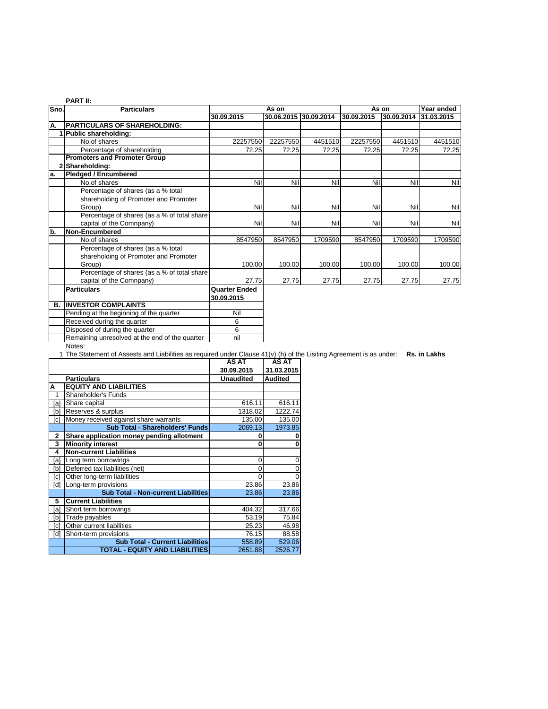| Sno.<br>A.         | <b>Particulars</b><br><b>PARTICULARS OF SHAREHOLDING:</b> | 30.09.2015           | As on    |                       |            |            | Year ended |
|--------------------|-----------------------------------------------------------|----------------------|----------|-----------------------|------------|------------|------------|
|                    |                                                           |                      |          |                       |            | As on      |            |
|                    |                                                           |                      |          | 30.06.2015 30.09.2014 | 30.09.2015 | 30.09.2014 | 31.03.2015 |
|                    |                                                           |                      |          |                       |            |            |            |
|                    | 1 Public shareholding:                                    |                      |          |                       |            |            |            |
|                    | No.of shares                                              | 22257550             | 22257550 | 4451510               | 22257550   | 4451510    | 4451510    |
|                    | Percentage of shareholding                                | 72.25                | 72.25    | 72.25                 | 72.25      | 72.25      | 72.25      |
|                    | <b>Promoters and Promoter Group</b>                       |                      |          |                       |            |            |            |
| 2 Shareholding:    |                                                           |                      |          |                       |            |            |            |
| a.                 | <b>Pledged / Encumbered</b>                               |                      |          |                       |            |            |            |
|                    | No.of shares                                              | Nil                  | Nil      | Nil                   | Nil        | Nil        | Nil        |
|                    | Percentage of shares (as a % total                        |                      |          |                       |            |            |            |
|                    | shareholding of Promoter and Promoter                     |                      |          |                       |            |            |            |
|                    | Group)                                                    | Nil                  | Nil      | Nil                   | Nil        | Nil        | Nil        |
|                    | Percentage of shares (as a % of total share               |                      |          |                       |            |            |            |
|                    | capital of the Comnpany)                                  | Nil                  | Nil      | Nil                   | Nil        | Nil        | Nil        |
| b.                 | <b>Non-Encumbered</b>                                     |                      |          |                       |            |            |            |
|                    | No.of shares                                              | 8547950              | 8547950  | 1709590               | 8547950    | 1709590    | 1709590    |
|                    | Percentage of shares (as a % total                        |                      |          |                       |            |            |            |
|                    | shareholding of Promoter and Promoter                     |                      |          |                       |            |            |            |
|                    | Group)                                                    | 100.00               | 100.00   | 100.00                | 100.00     | 100.00     | 100.00     |
|                    | Percentage of shares (as a % of total share               |                      |          |                       |            |            |            |
|                    | capital of the Comnpany)                                  | 27.75                | 27.75    | 27.75                 | 27.75      | 27.75      | 27.75      |
| <b>Particulars</b> |                                                           | <b>Quarter Ended</b> |          |                       |            |            |            |
|                    |                                                           | 30.09.2015           |          |                       |            |            |            |
| В.                 | <b>INVESTOR COMPLAINTS</b>                                |                      |          |                       |            |            |            |
|                    | Pending at the beginning of the quarter                   | Nil                  |          |                       |            |            |            |
|                    | Received during the quarter                               | 6                    |          |                       |            |            |            |
|                    | Disposed of during the quarter                            | 6                    |          |                       |            |            |            |
|                    | Remaining unresolved at the end of the quarter            | nil                  |          |                       |            |            |            |

Notes:

1 The Statement of Assests and Liabilities as required under Clause 41(v) (h) of the Lisiting Agreement is as under: **Rs. in Lakhs**

|     |                                            | <b>AS AT</b>     | AS AT          |
|-----|--------------------------------------------|------------------|----------------|
|     |                                            | 30.09.2015       | 31.03.2015     |
|     | <b>Particulars</b>                         | <b>Unaudited</b> | <b>Audited</b> |
| А   | <b>EQUITY AND LIABILITIES</b>              |                  |                |
| 1   | <b>Shareholder's Funds</b>                 |                  |                |
| [a] | Share capital                              | 616.11           | 616.11         |
| [b] | Reserves & surplus                         | 1318.02          | 1222.74        |
| [c] | Money received against share warrants      | 135.00           | 135.00         |
|     | Sub Total - Shareholders' Funds            | 2069.13          | 1973.85        |
| 2   | Share application money pending allotment  | n                | 0              |
| 3   | <b>Minority interest</b>                   | n                | 0              |
| 4   | <b>Non-current Liabilities</b>             |                  |                |
| [a] | Long term borrowings                       | 0                | 0              |
| [b] | Deferred tax liabilities (net)             | 0                | 0              |
| [c] | Other long-term liabilities                | U                | $\mathbf 0$    |
| [d] | Long-term provisions                       | 23.86            | 23.86          |
|     | <b>Sub Total - Non-current Liabilities</b> | 23.86            | 23.86          |
| 5   | <b>Current Liabilities</b>                 |                  |                |
| [a] | Short term borrowings                      | 404.32           | 317.66         |
| [b] | Trade payables                             | 53.19            | 75.84          |
| [c] | Other current liabilities                  | 25.23            | 46.98          |
| [d] | Short-term provisions                      | 76.15            | 88.58          |
|     | <b>Sub Total - Current Liabilities</b>     | 558.89           | 529.06         |
|     | TOTAL - EQUITY AND LIABILITIES             | 2651.88          | 2526.77        |